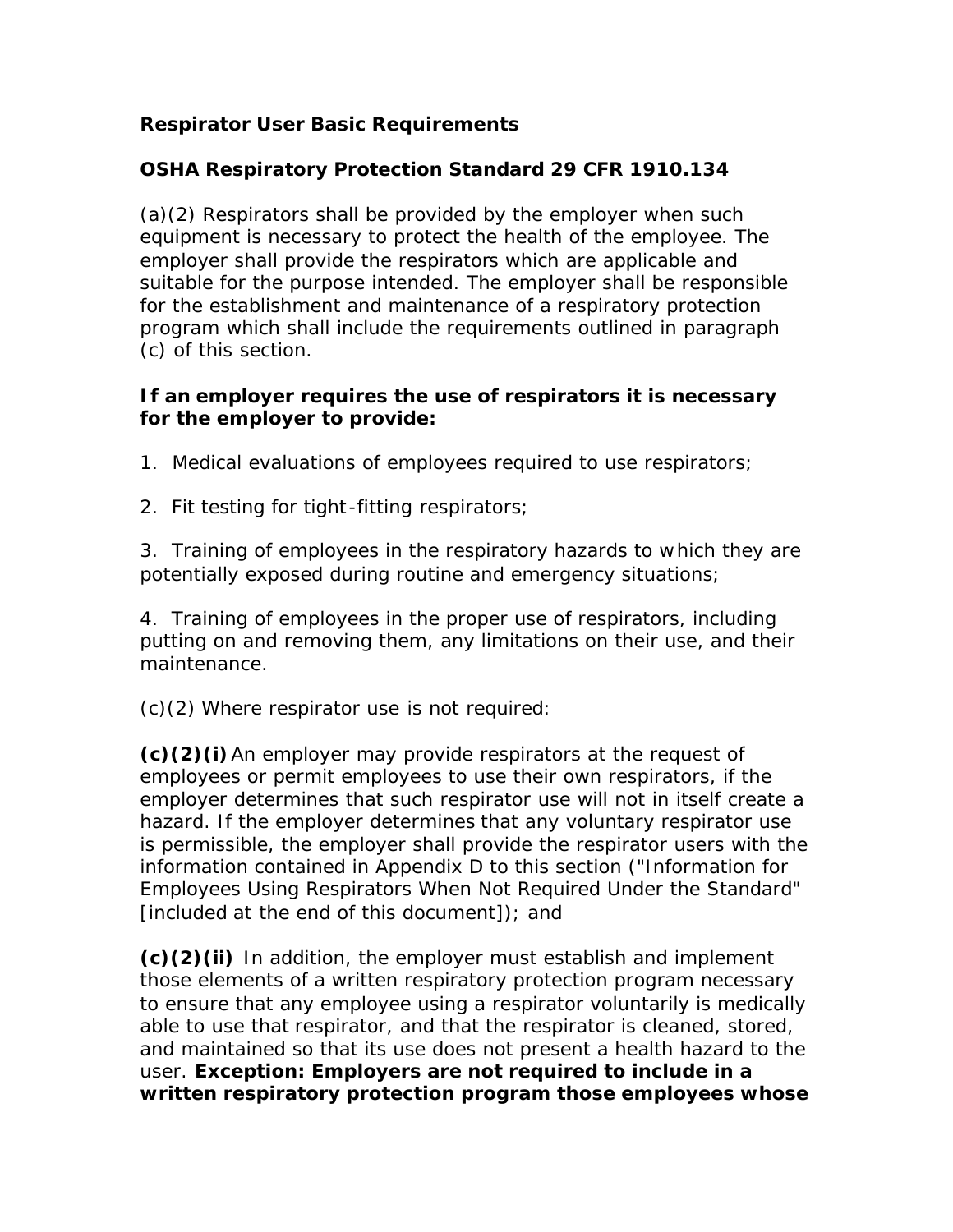# **Respirator User Basic Requirements**

## **OSHA Respiratory Protection Standard 29 CFR 1910.134**

(a)(2) Respirators shall be provided by the employer when such equipment is necessary to protect the health of the employee. The employer shall provide the respirators which are applicable and suitable for the purpose intended. The employer shall be responsible for the establishment and maintenance of a respiratory protection program which shall include the requirements outlined in paragraph (c) of this section.

#### **If an employer requires the use of respirators it is necessary for the employer to provide:**

*1. Medical evaluations of employees required to use respirators;*

*2. Fit testing for tight -fitting respirators;*

*3. Training of employees in the respiratory hazards to which they are potentially exposed during routine and emergency situations;*

*4. Training of employees in the proper use of respirators, including putting on and removing them, any limitations on their use, and their maintenance.*

(c)(2) Where respirator use is not required:

**(c)(2)(i)**An employer may provide respirators at the request of employees or permit employees to use their own respirators, if the employer determines that such respirator use will not in itself create a hazard. If the employer determines that any voluntary respirator use is permissible, the employer shall provide the respirator users with the information contained in Appendix D to this section ("Information for Employees Using Respirators When Not Required Under the Standard" [included at the end of this document]); and

**(c)(2)(ii)** In addition, the employer must establish and implement those elements of a written respiratory protection program necessary to ensure that any employee using a respirator voluntarily is medically able to use that respirator, and that the respirator is cleaned, stored, and maintained so that its use does not present a health hazard to the user. *Exception: Employers are not required to include in a written respiratory protection program those employees whose*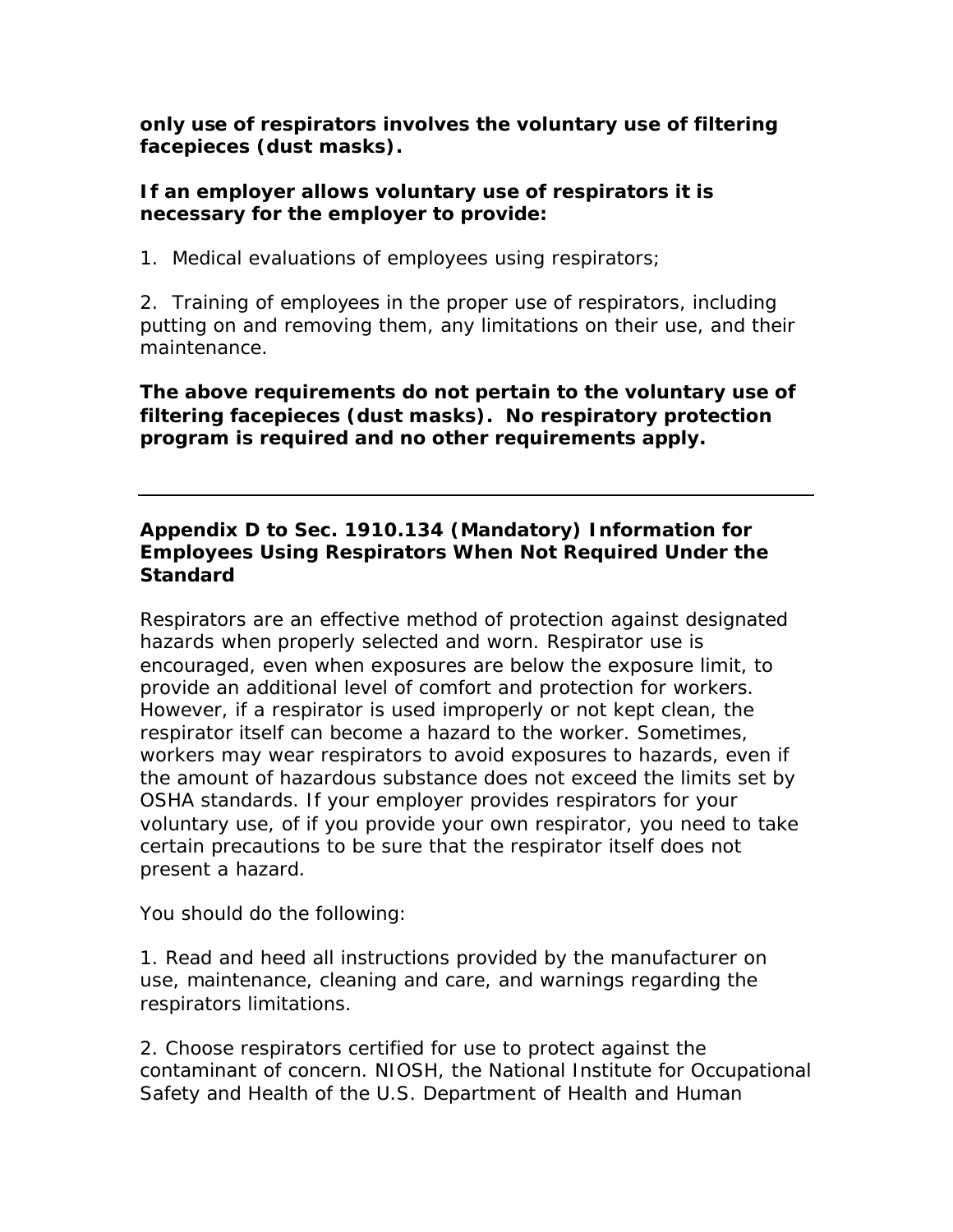*only use of respirators involves the voluntary use of filtering facepieces (dust masks).*

### **If an employer allows voluntary use of respirators it is necessary for the employer to provide:**

*1. Medical evaluations of employees using respirators;*

*2. Training of employees in the proper use of respirators, including putting on and removing them, any limitations on their use, and their maintenance.*

*The above requirements do not pertain to the voluntary use of filtering facepieces (dust masks). No respiratory protection program is required and no other requirements apply.*

## **Appendix D to Sec. 1910.134 (Mandatory) Information for Employees Using Respirators When Not Required Under the Standard**

Respirators are an effective method of protection against designated hazards when properly selected and worn. Respirator use is encouraged, even when exposures are below the exposure limit, to provide an additional level of comfort and protection for workers. However, if a respirator is used improperly or not kept clean, the respirator itself can become a hazard to the worker. Sometimes, workers may wear respirators to avoid exposures to hazards, even if the amount of hazardous substance does not exceed the limits set by OSHA standards. If your employer provides respirators for your voluntary use, of if you provide your own respirator, you need to take certain precautions to be sure that the respirator itself does not present a hazard.

You should do the following:

1. Read and heed all instructions provided by the manufacturer on use, maintenance, cleaning and care, and warnings regarding the respirators limitations.

2. Choose respirators certified for use to protect against the contaminant of concern. NIOSH, the National Institute for Occupational Safety and Health of the U.S. Department of Health and Human